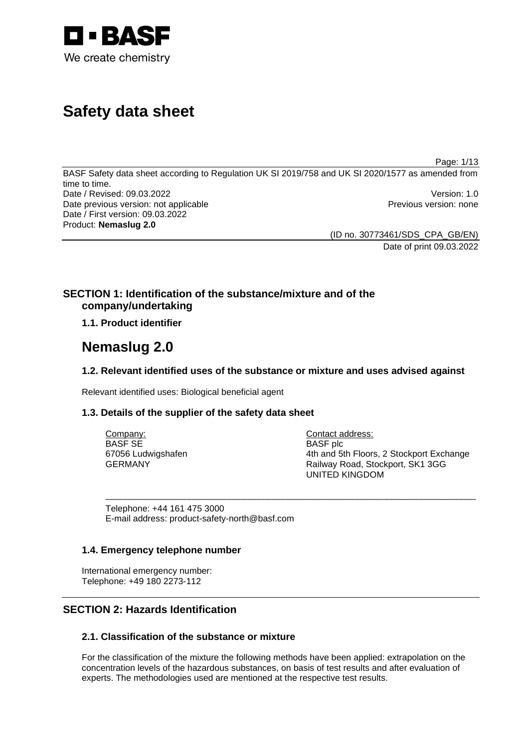

# **Safety data sheet**

Page: 1/13

BASF Safety data sheet according to Regulation UK SI 2019/758 and UK SI 2020/1577 as amended from time to time. Date / Revised: 09.03.2022 Version: 1.0 Date previous version: not applicable **Previous version: none** Previous version: none Date / First version: 09.03.2022 Product: **Nemaslug 2.0** 

> (ID no. 30773461/SDS\_CPA\_GB/EN) Date of print 09.03.2022

# **SECTION 1: Identification of the substance/mixture and of the company/undertaking**

**1.1. Product identifier**

# **Nemaslug 2.0**

# **1.2. Relevant identified uses of the substance or mixture and uses advised against**

Relevant identified uses: Biological beneficial agent

# **1.3. Details of the supplier of the safety data sheet**

| Company:           | Contact address:                         |
|--------------------|------------------------------------------|
| BASF SE            | <b>BASF</b> plc                          |
| 67056 Ludwigshafen | 4th and 5th Floors, 2 Stockport Exchange |
| GERMANY            | Railway Road, Stockport, SK1 3GG         |
|                    | UNITED KINGDOM                           |

\_\_\_\_\_\_\_\_\_\_\_\_\_\_\_\_\_\_\_\_\_\_\_\_\_\_\_\_\_\_\_\_\_\_\_\_\_\_\_\_\_\_\_\_\_\_\_\_\_\_\_\_\_\_\_\_\_\_\_\_\_\_\_\_\_\_\_\_\_\_\_\_\_\_\_

Telephone: +44 161 475 3000 E-mail address: product-safety-north@basf.com

# **1.4. Emergency telephone number**

International emergency number: Telephone: +49 180 2273-112

# **SECTION 2: Hazards Identification**

# **2.1. Classification of the substance or mixture**

For the classification of the mixture the following methods have been applied: extrapolation on the concentration levels of the hazardous substances, on basis of test results and after evaluation of experts. The methodologies used are mentioned at the respective test results.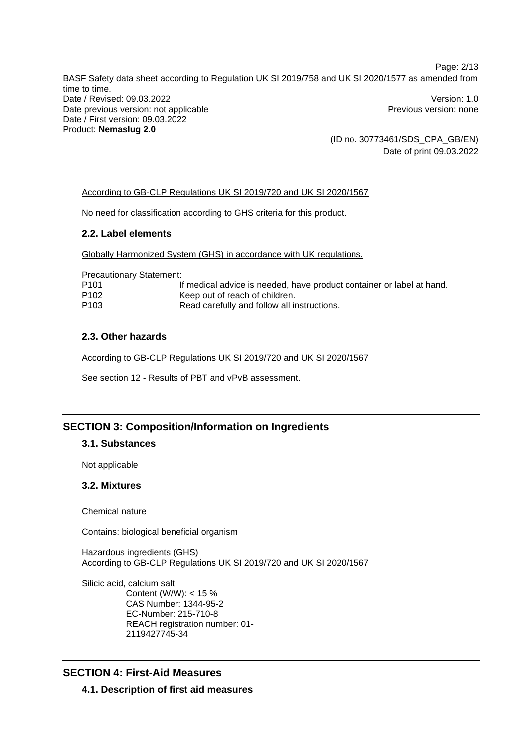BASF Safety data sheet according to Regulation UK SI 2019/758 and UK SI 2020/1577 as amended from time to time. Date / Revised: 09.03.2022 Version: 1.0 Date previous version: not applicable **Previous version: none** Previous version: none Date / First version: 09.03.2022 Product: **Nemaslug 2.0** 

(ID no. 30773461/SDS\_CPA\_GB/EN) Date of print 09.03.2022

Page: 2/13

### According to GB-CLP Regulations UK SI 2019/720 and UK SI 2020/1567

No need for classification according to GHS criteria for this product.

#### **2.2. Label elements**

Globally Harmonized System (GHS) in accordance with UK regulations.

Precautionary Statement:

| P <sub>101</sub> | If medical advice is needed, have product container or label at hand. |
|------------------|-----------------------------------------------------------------------|
| P <sub>102</sub> | Keep out of reach of children.                                        |
| P <sub>103</sub> | Read carefully and follow all instructions.                           |

### **2.3. Other hazards**

According to GB-CLP Regulations UK SI 2019/720 and UK SI 2020/1567

See section 12 - Results of PBT and vPvB assessment.

# **SECTION 3: Composition/Information on Ingredients**

### **3.1. Substances**

Not applicable

### **3.2. Mixtures**

Chemical nature

Contains: biological beneficial organism

Hazardous ingredients (GHS) According to GB-CLP Regulations UK SI 2019/720 and UK SI 2020/1567

Silicic acid, calcium salt Content (W/W): < 15 % CAS Number: 1344-95-2 EC-Number: 215-710-8 REACH registration number: 01- 2119427745-34

# **SECTION 4: First-Aid Measures**

**4.1. Description of first aid measures**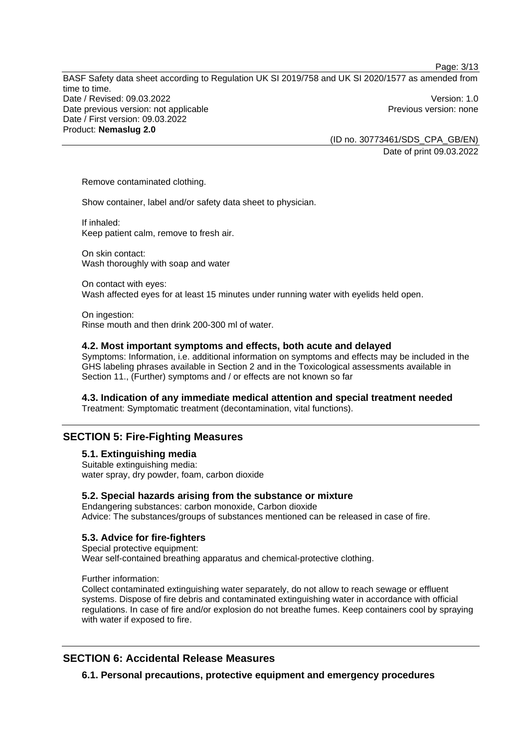BASF Safety data sheet according to Regulation UK SI 2019/758 and UK SI 2020/1577 as amended from time to time. Date / Revised: 09.03.2022 Version: 1.0 Date previous version: not applicable **Previous version: none** Previous version: none Date / First version: 09.03.2022 Product: **Nemaslug 2.0** 

(ID no. 30773461/SDS\_CPA\_GB/EN) Date of print 09.03.2022

Page: 3/13

Remove contaminated clothing.

Show container, label and/or safety data sheet to physician.

If inhaled: Keep patient calm, remove to fresh air.

On skin contact: Wash thoroughly with soap and water

On contact with eyes: Wash affected eyes for at least 15 minutes under running water with eyelids held open.

On ingestion: Rinse mouth and then drink 200-300 ml of water.

#### **4.2. Most important symptoms and effects, both acute and delayed**

Symptoms: Information, i.e. additional information on symptoms and effects may be included in the GHS labeling phrases available in Section 2 and in the Toxicological assessments available in Section 11., (Further) symptoms and / or effects are not known so far

#### **4.3. Indication of any immediate medical attention and special treatment needed**

Treatment: Symptomatic treatment (decontamination, vital functions).

# **SECTION 5: Fire-Fighting Measures**

**5.1. Extinguishing media** 

Suitable extinguishing media: water spray, dry powder, foam, carbon dioxide

#### **5.2. Special hazards arising from the substance or mixture**

Endangering substances: carbon monoxide, Carbon dioxide Advice: The substances/groups of substances mentioned can be released in case of fire.

#### **5.3. Advice for fire-fighters**

Special protective equipment: Wear self-contained breathing apparatus and chemical-protective clothing.

Further information:

Collect contaminated extinguishing water separately, do not allow to reach sewage or effluent systems. Dispose of fire debris and contaminated extinguishing water in accordance with official regulations. In case of fire and/or explosion do not breathe fumes. Keep containers cool by spraying with water if exposed to fire.

# **SECTION 6: Accidental Release Measures**

**6.1. Personal precautions, protective equipment and emergency procedures**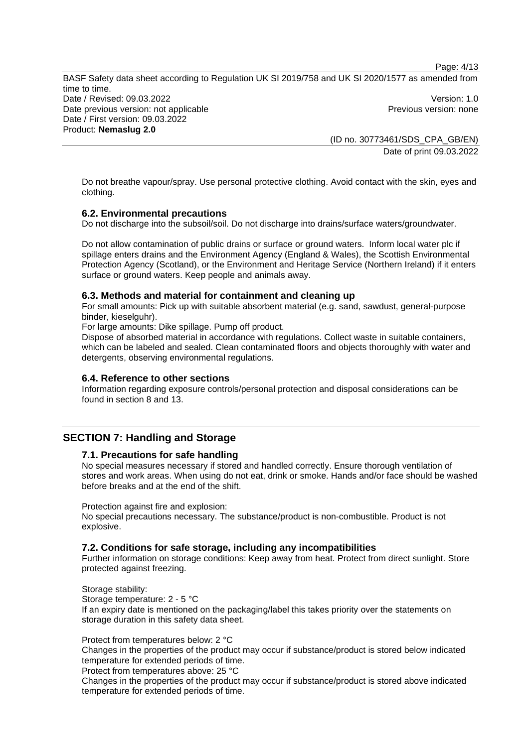Page: 4/13

BASF Safety data sheet according to Regulation UK SI 2019/758 and UK SI 2020/1577 as amended from time to time. Date / Revised: 09.03.2022 Version: 1.0 Date previous version: not applicable **Previous version: none** Previous version: none Date / First version: 09.03.2022 Product: **Nemaslug 2.0** 

(ID no. 30773461/SDS\_CPA\_GB/EN) Date of print 09.03.2022

Do not breathe vapour/spray. Use personal protective clothing. Avoid contact with the skin, eyes and clothing.

# **6.2. Environmental precautions**

Do not discharge into the subsoil/soil. Do not discharge into drains/surface waters/groundwater.

Do not allow contamination of public drains or surface or ground waters. Inform local water plc if spillage enters drains and the Environment Agency (England & Wales), the Scottish Environmental Protection Agency (Scotland), or the Environment and Heritage Service (Northern Ireland) if it enters surface or ground waters. Keep people and animals away.

### **6.3. Methods and material for containment and cleaning up**

For small amounts: Pick up with suitable absorbent material (e.g. sand, sawdust, general-purpose binder, kieselguhr).

For large amounts: Dike spillage. Pump off product.

Dispose of absorbed material in accordance with regulations. Collect waste in suitable containers, which can be labeled and sealed. Clean contaminated floors and objects thoroughly with water and detergents, observing environmental regulations.

#### **6.4. Reference to other sections**

Information regarding exposure controls/personal protection and disposal considerations can be found in section 8 and 13.

# **SECTION 7: Handling and Storage**

#### **7.1. Precautions for safe handling**

No special measures necessary if stored and handled correctly. Ensure thorough ventilation of stores and work areas. When using do not eat, drink or smoke. Hands and/or face should be washed before breaks and at the end of the shift.

Protection against fire and explosion:

No special precautions necessary. The substance/product is non-combustible. Product is not explosive.

#### **7.2. Conditions for safe storage, including any incompatibilities**

Further information on storage conditions: Keep away from heat. Protect from direct sunlight. Store protected against freezing.

Storage stability: Storage temperature: 2 - 5 °C If an expiry date is mentioned on the packaging/label this takes priority over the statements on storage duration in this safety data sheet.

Protect from temperatures below: 2 °C Changes in the properties of the product may occur if substance/product is stored below indicated temperature for extended periods of time.

Protect from temperatures above: 25 °C

Changes in the properties of the product may occur if substance/product is stored above indicated temperature for extended periods of time.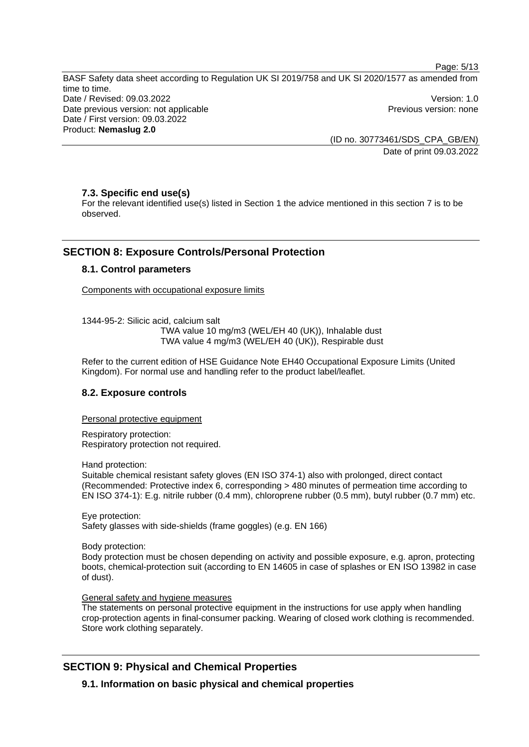Page: 5/13

BASF Safety data sheet according to Regulation UK SI 2019/758 and UK SI 2020/1577 as amended from time to time. Date / Revised: 09.03.2022 Version: 1.0 Date previous version: not applicable example and previous version: none Previous version: none Date / First version: 09.03.2022 Product: **Nemaslug 2.0** 

> (ID no. 30773461/SDS\_CPA\_GB/EN) Date of print 09.03.2022

# **7.3. Specific end use(s)**

For the relevant identified use(s) listed in Section 1 the advice mentioned in this section 7 is to be observed.

# **SECTION 8: Exposure Controls/Personal Protection**

# **8.1. Control parameters**

Components with occupational exposure limits

1344-95-2: Silicic acid, calcium salt TWA value 10 mg/m3 (WEL/EH 40 (UK)), Inhalable dust TWA value 4 mg/m3 (WEL/EH 40 (UK)), Respirable dust

Refer to the current edition of HSE Guidance Note EH40 Occupational Exposure Limits (United Kingdom). For normal use and handling refer to the product label/leaflet.

# **8.2. Exposure controls**

Personal protective equipment

Respiratory protection: Respiratory protection not required.

Hand protection:

Suitable chemical resistant safety gloves (EN ISO 374-1) also with prolonged, direct contact (Recommended: Protective index 6, corresponding > 480 minutes of permeation time according to EN ISO 374-1): E.g. nitrile rubber (0.4 mm), chloroprene rubber (0.5 mm), butyl rubber (0.7 mm) etc.

Eye protection: Safety glasses with side-shields (frame goggles) (e.g. EN 166)

Body protection:

Body protection must be chosen depending on activity and possible exposure, e.g. apron, protecting boots, chemical-protection suit (according to EN 14605 in case of splashes or EN ISO 13982 in case of dust).

#### General safety and hygiene measures

The statements on personal protective equipment in the instructions for use apply when handling crop-protection agents in final-consumer packing. Wearing of closed work clothing is recommended. Store work clothing separately.

# **SECTION 9: Physical and Chemical Properties**

**9.1. Information on basic physical and chemical properties**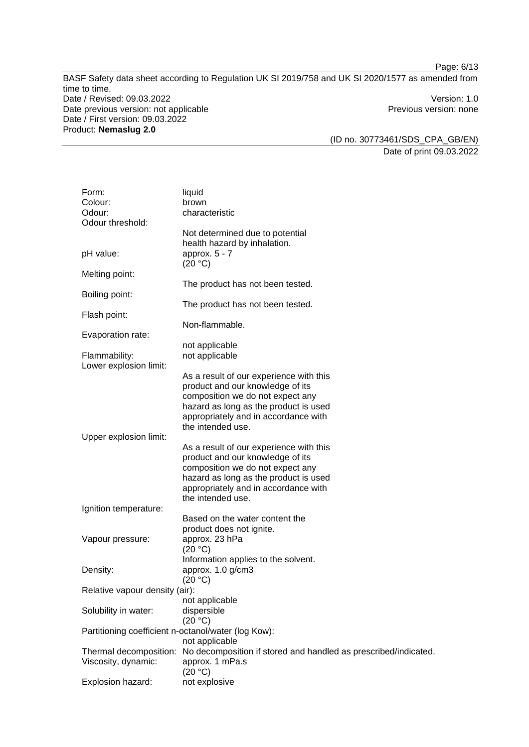Page: 6/13

BASF Safety data sheet according to Regulation UK SI 2019/758 and UK SI 2020/1577 as amended from time to time. Date / Revised: 09.03.2022 Version: 1.0 Date previous version: not applicable **Previous version: none** Previous version: none Date / First version: 09.03.2022 Product: **Nemaslug 2.0** 

(ID no. 30773461/SDS\_CPA\_GB/EN) Date of print 09.03.2022

| Form:                          | liquid                                                                             |
|--------------------------------|------------------------------------------------------------------------------------|
| Colour:                        | brown                                                                              |
| Odour:                         | characteristic                                                                     |
| Odour threshold:               |                                                                                    |
|                                | Not determined due to potential                                                    |
|                                | health hazard by inhalation.                                                       |
| pH value:                      | approx. $5 - 7$                                                                    |
|                                | (20 °C)                                                                            |
| Melting point:                 |                                                                                    |
|                                | The product has not been tested.                                                   |
| Boiling point:                 |                                                                                    |
|                                | The product has not been tested.                                                   |
| Flash point:                   |                                                                                    |
|                                | Non-flammable.                                                                     |
| Evaporation rate:              |                                                                                    |
|                                | not applicable                                                                     |
| Flammability:                  | not applicable                                                                     |
| Lower explosion limit:         |                                                                                    |
|                                | As a result of our experience with this                                            |
|                                | product and our knowledge of its                                                   |
|                                | composition we do not expect any                                                   |
|                                | hazard as long as the product is used                                              |
|                                | appropriately and in accordance with                                               |
|                                | the intended use.                                                                  |
| Upper explosion limit:         |                                                                                    |
|                                | As a result of our experience with this                                            |
|                                | product and our knowledge of its                                                   |
|                                | composition we do not expect any                                                   |
|                                | hazard as long as the product is used                                              |
|                                | appropriately and in accordance with                                               |
|                                | the intended use.                                                                  |
| Ignition temperature:          |                                                                                    |
|                                | Based on the water content the                                                     |
|                                | product does not ignite.                                                           |
| Vapour pressure:               | approx. 23 hPa                                                                     |
|                                | (20 °C)                                                                            |
|                                | Information applies to the solvent.                                                |
| Density:                       | approx. 1.0 g/cm3                                                                  |
|                                | (20 °C)                                                                            |
| Relative vapour density (air): |                                                                                    |
|                                | not applicable                                                                     |
| Solubility in water:           | dispersible                                                                        |
|                                | (20 °C)                                                                            |
|                                | Partitioning coefficient n-octanol/water (log Kow):                                |
|                                | not applicable                                                                     |
| Thermal decomposition:         |                                                                                    |
|                                | No decomposition if stored and handled as prescribed/indicated.<br>approx. 1 mPa.s |
| Viscosity, dynamic:            |                                                                                    |
| Explosion hazard:              | (20 °C)<br>not explosive                                                           |
|                                |                                                                                    |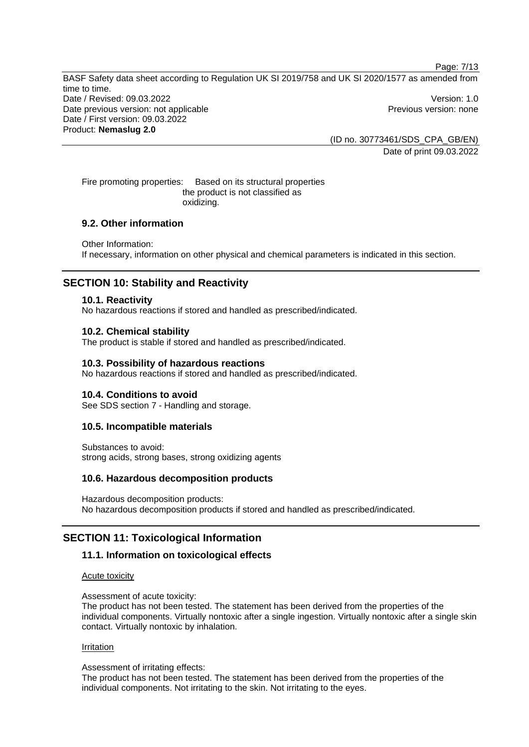BASF Safety data sheet according to Regulation UK SI 2019/758 and UK SI 2020/1577 as amended from time to time. Date / Revised: 09.03.2022 Version: 1.0 Date previous version: not applicable **Previous version: none** Previous version: none Date / First version: 09.03.2022 Product: **Nemaslug 2.0** 

(ID no. 30773461/SDS\_CPA\_GB/EN) Date of print 09.03.2022

Page: 7/13

Fire promoting properties: Based on its structural properties the product is not classified as oxidizing.

# **9.2. Other information**

Other Information: If necessary, information on other physical and chemical parameters is indicated in this section.

# **SECTION 10: Stability and Reactivity**

#### **10.1. Reactivity**

No hazardous reactions if stored and handled as prescribed/indicated.

#### **10.2. Chemical stability**

The product is stable if stored and handled as prescribed/indicated.

### **10.3. Possibility of hazardous reactions**

No hazardous reactions if stored and handled as prescribed/indicated.

#### **10.4. Conditions to avoid**

See SDS section 7 - Handling and storage.

### **10.5. Incompatible materials**

Substances to avoid: strong acids, strong bases, strong oxidizing agents

#### **10.6. Hazardous decomposition products**

Hazardous decomposition products: No hazardous decomposition products if stored and handled as prescribed/indicated.

# **SECTION 11: Toxicological Information**

#### **11.1. Information on toxicological effects**

#### Acute toxicity

Assessment of acute toxicity:

The product has not been tested. The statement has been derived from the properties of the individual components. Virtually nontoxic after a single ingestion. Virtually nontoxic after a single skin contact. Virtually nontoxic by inhalation.

### Irritation

Assessment of irritating effects:

The product has not been tested. The statement has been derived from the properties of the individual components. Not irritating to the skin. Not irritating to the eyes.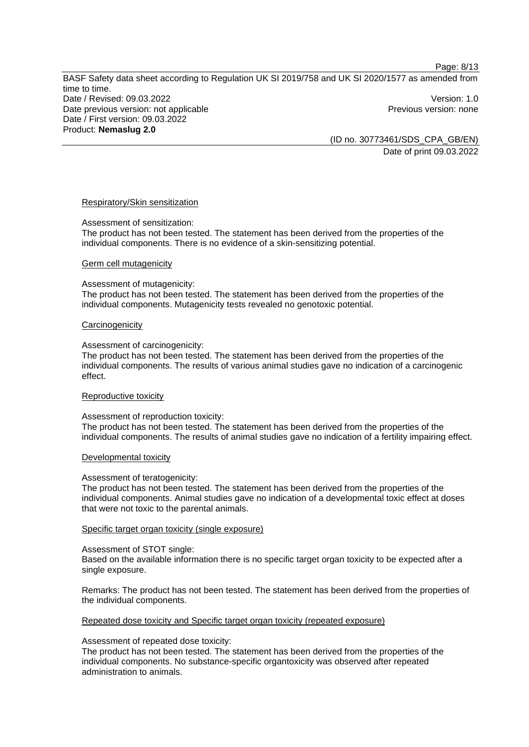Page: 8/13

BASF Safety data sheet according to Regulation UK SI 2019/758 and UK SI 2020/1577 as amended from time to time. Date / Revised: 09.03.2022 Version: 1.0 Date previous version: not applicable example and previous version: none Previous version: none Date / First version: 09.03.2022 Product: **Nemaslug 2.0** 

(ID no. 30773461/SDS\_CPA\_GB/EN) Date of print 09.03.2022

#### Respiratory/Skin sensitization

Assessment of sensitization:

The product has not been tested. The statement has been derived from the properties of the individual components. There is no evidence of a skin-sensitizing potential.

#### Germ cell mutagenicity

Assessment of mutagenicity:

The product has not been tested. The statement has been derived from the properties of the individual components. Mutagenicity tests revealed no genotoxic potential.

#### **Carcinogenicity**

Assessment of carcinogenicity:

The product has not been tested. The statement has been derived from the properties of the individual components. The results of various animal studies gave no indication of a carcinogenic effect.

#### Reproductive toxicity

Assessment of reproduction toxicity:

The product has not been tested. The statement has been derived from the properties of the individual components. The results of animal studies gave no indication of a fertility impairing effect.

#### Developmental toxicity

#### Assessment of teratogenicity:

The product has not been tested. The statement has been derived from the properties of the individual components. Animal studies gave no indication of a developmental toxic effect at doses that were not toxic to the parental animals.

#### Specific target organ toxicity (single exposure)

#### Assessment of STOT single:

Based on the available information there is no specific target organ toxicity to be expected after a single exposure.

Remarks: The product has not been tested. The statement has been derived from the properties of the individual components.

#### Repeated dose toxicity and Specific target organ toxicity (repeated exposure)

### Assessment of repeated dose toxicity:

The product has not been tested. The statement has been derived from the properties of the individual components. No substance-specific organtoxicity was observed after repeated administration to animals.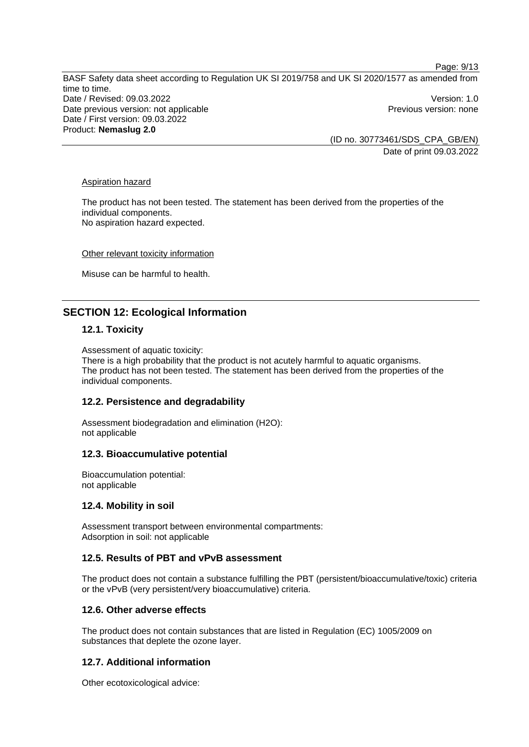BASF Safety data sheet according to Regulation UK SI 2019/758 and UK SI 2020/1577 as amended from time to time. Date / Revised: 09.03.2022 Version: 1.0 Date previous version: not applicable example and previous version: none Previous version: none Date / First version: 09.03.2022 Product: **Nemaslug 2.0** 

(ID no. 30773461/SDS\_CPA\_GB/EN) Date of print 09.03.2022

Page: 9/13

#### Aspiration hazard

The product has not been tested. The statement has been derived from the properties of the individual components. No aspiration hazard expected.

Other relevant toxicity information

Misuse can be harmful to health.

# **SECTION 12: Ecological Information**

### **12.1. Toxicity**

Assessment of aquatic toxicity:

There is a high probability that the product is not acutely harmful to aquatic organisms. The product has not been tested. The statement has been derived from the properties of the individual components.

# **12.2. Persistence and degradability**

Assessment biodegradation and elimination (H2O): not applicable

#### **12.3. Bioaccumulative potential**

Bioaccumulation potential: not applicable

#### **12.4. Mobility in soil**

Assessment transport between environmental compartments: Adsorption in soil: not applicable

### **12.5. Results of PBT and vPvB assessment**

The product does not contain a substance fulfilling the PBT (persistent/bioaccumulative/toxic) criteria or the vPvB (very persistent/very bioaccumulative) criteria.

#### **12.6. Other adverse effects**

The product does not contain substances that are listed in Regulation (EC) 1005/2009 on substances that deplete the ozone layer.

### **12.7. Additional information**

Other ecotoxicological advice: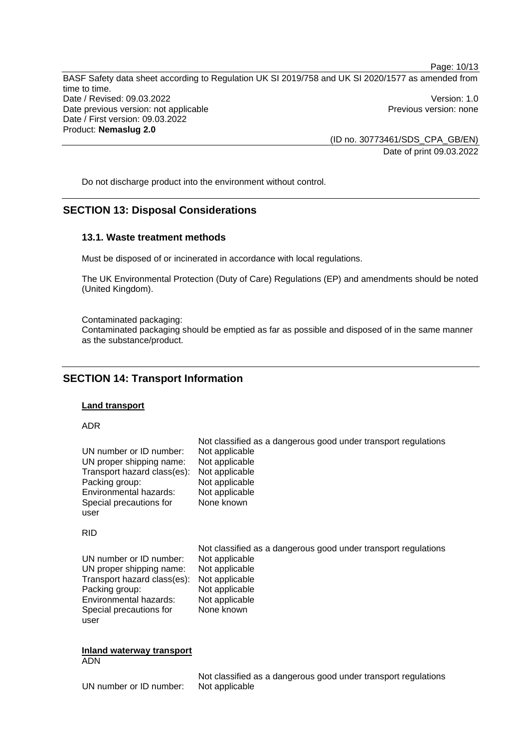Page: 10/13 BASF Safety data sheet according to Regulation UK SI 2019/758 and UK SI 2020/1577 as amended from time to time. Date / Revised: 09.03.2022 Version: 1.0 Date previous version: not applicable **Previous version: none** Previous version: none Date / First version: 09.03.2022 Product: **Nemaslug 2.0** 

(ID no. 30773461/SDS\_CPA\_GB/EN) Date of print 09.03.2022

Do not discharge product into the environment without control.

# **SECTION 13: Disposal Considerations**

### **13.1. Waste treatment methods**

Must be disposed of or incinerated in accordance with local regulations.

The UK Environmental Protection (Duty of Care) Regulations (EP) and amendments should be noted (United Kingdom).

Contaminated packaging:

Contaminated packaging should be emptied as far as possible and disposed of in the same manner as the substance/product.

# **SECTION 14: Transport Information**

### **Land transport**

#### ADR

| UN number or ID number:     | Not classified as a dangerous good under transport regulations |
|-----------------------------|----------------------------------------------------------------|
| UN proper shipping name:    | Not applicable                                                 |
| Transport hazard class(es): | Not applicable                                                 |
| Packing group:              | Not applicable                                                 |
| Environmental hazards:      | Not applicable                                                 |
| Special precautions for     | Not applicable                                                 |
| user                        | None known                                                     |
| <b>RID</b>                  |                                                                |
| UN number or ID number:     | Not classified as a dangerous good under transport regulations |
| UN proper shipping name:    | Not applicable                                                 |
| Transport hazard class(es): | Not applicable                                                 |
| Packing group:              | Not applicable                                                 |
| Environmental hazards:      | Not applicable                                                 |
| Special precautions for     | Not applicable                                                 |
| user                        | None known                                                     |

#### **Inland waterway transport**  ADN

Not classified as a dangerous good under transport regulations UN number or ID number: Not applicable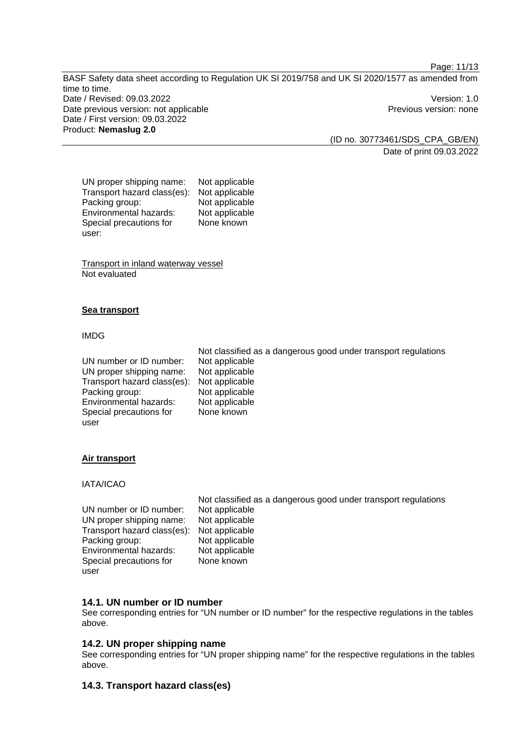Page: 11/13

BASF Safety data sheet according to Regulation UK SI 2019/758 and UK SI 2020/1577 as amended from time to time. Date / Revised: 09.03.2022 Version: 1.0 Date previous version: not applicable **Previous version: none** Previous version: none Date / First version: 09.03.2022 Product: **Nemaslug 2.0** 

(ID no. 30773461/SDS\_CPA\_GB/EN) Date of print 09.03.2022

UN proper shipping name: Not applicable Transport hazard class(es): Not applicable<br>Packing group: Not applicable Packing group: Environmental hazards: Not applicable Special precautions for user: None known

Transport in inland waterway vessel Not evaluated

# **Sea transport**

### IMDG

UN number or ID number: Not applicable UN proper shipping name: Not applicable Transport hazard class(es): Not applicable Packing group: Not applicable<br>
Environmental hazards: Not applicable Environmental hazards: Special precautions for user None known

Not classified as a dangerous good under transport regulations

# **Air transport**

# IATA/ICAO

|                                            | Not classified as a dangerous good under transport regulations |
|--------------------------------------------|----------------------------------------------------------------|
| UN number or ID number:                    | Not applicable                                                 |
| UN proper shipping name:                   | Not applicable                                                 |
| Transport hazard class(es): Not applicable |                                                                |
| Packing group:                             | Not applicable                                                 |
| Environmental hazards:                     | Not applicable                                                 |
| Special precautions for                    | None known                                                     |
| user                                       |                                                                |

# **14.1. UN number or ID number**

See corresponding entries for "UN number or ID number" for the respective regulations in the tables above.

# **14.2. UN proper shipping name**

See corresponding entries for "UN proper shipping name" for the respective regulations in the tables above.

# **14.3. Transport hazard class(es)**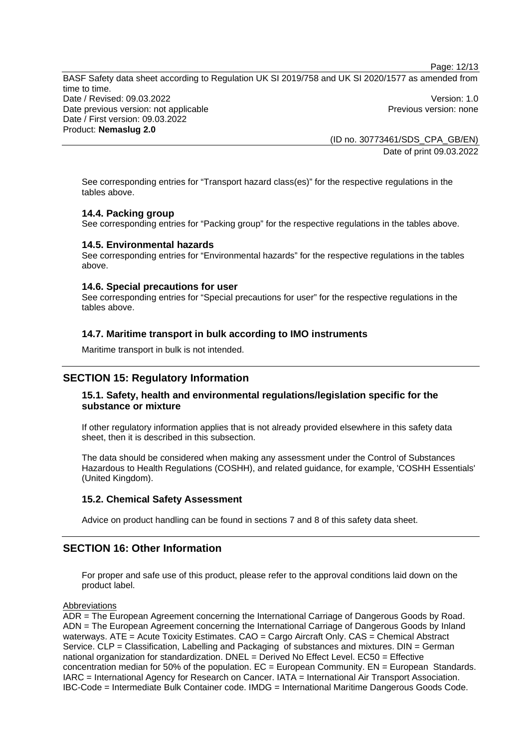Page: 12/13 BASF Safety data sheet according to Regulation UK SI 2019/758 and UK SI 2020/1577 as amended from

time to time. Date / Revised: 09.03.2022 Version: 1.0 Date previous version: not applicable **Previous version: none** Previous version: none Date / First version: 09.03.2022 Product: **Nemaslug 2.0** 

(ID no. 30773461/SDS\_CPA\_GB/EN) Date of print 09.03.2022

See corresponding entries for "Transport hazard class(es)" for the respective regulations in the tables above.

# **14.4. Packing group**

See corresponding entries for "Packing group" for the respective regulations in the tables above.

### **14.5. Environmental hazards**

See corresponding entries for "Environmental hazards" for the respective regulations in the tables above.

### **14.6. Special precautions for user**

See corresponding entries for "Special precautions for user" for the respective regulations in the tables above.

# **14.7. Maritime transport in bulk according to IMO instruments**

Maritime transport in bulk is not intended.

# **SECTION 15: Regulatory Information**

# **15.1. Safety, health and environmental regulations/legislation specific for the substance or mixture**

If other regulatory information applies that is not already provided elsewhere in this safety data sheet, then it is described in this subsection.

The data should be considered when making any assessment under the Control of Substances Hazardous to Health Regulations (COSHH), and related guidance, for example, 'COSHH Essentials' (United Kingdom).

#### **15.2. Chemical Safety Assessment**

Advice on product handling can be found in sections 7 and 8 of this safety data sheet.

# **SECTION 16: Other Information**

For proper and safe use of this product, please refer to the approval conditions laid down on the product label.

### Abbreviations

ADR = The European Agreement concerning the International Carriage of Dangerous Goods by Road. ADN = The European Agreement concerning the International Carriage of Dangerous Goods by Inland waterways. ATE = Acute Toxicity Estimates. CAO = Cargo Aircraft Only. CAS = Chemical Abstract Service. CLP = Classification, Labelling and Packaging of substances and mixtures. DIN = German national organization for standardization. DNEL = Derived No Effect Level. EC50 = Effective concentration median for 50% of the population.  $EC = European$  Community.  $EN = European$  Standards. IARC = International Agency for Research on Cancer. IATA = International Air Transport Association. IBC-Code = Intermediate Bulk Container code. IMDG = International Maritime Dangerous Goods Code.